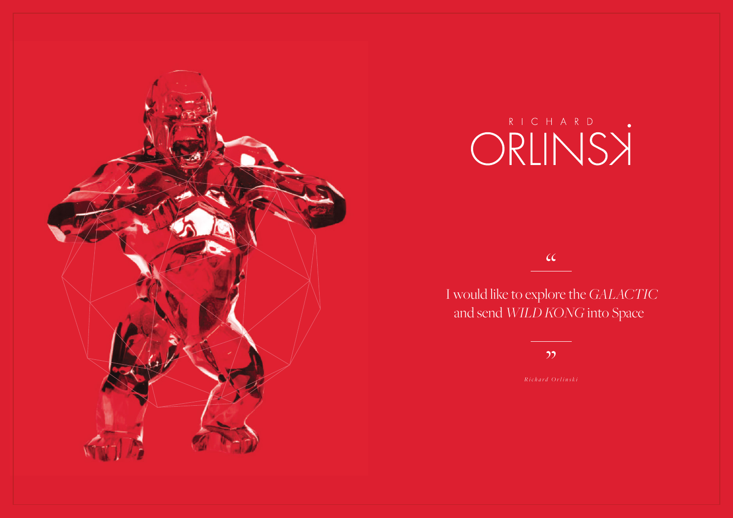

# ORLINSY

 $\overline{\mathcal{C}}$ 

 I would like to explore the *GALACTIC* and send *WILD KONG* into Space

 $\mathfrak{D}$ 

*Richard Orlinski*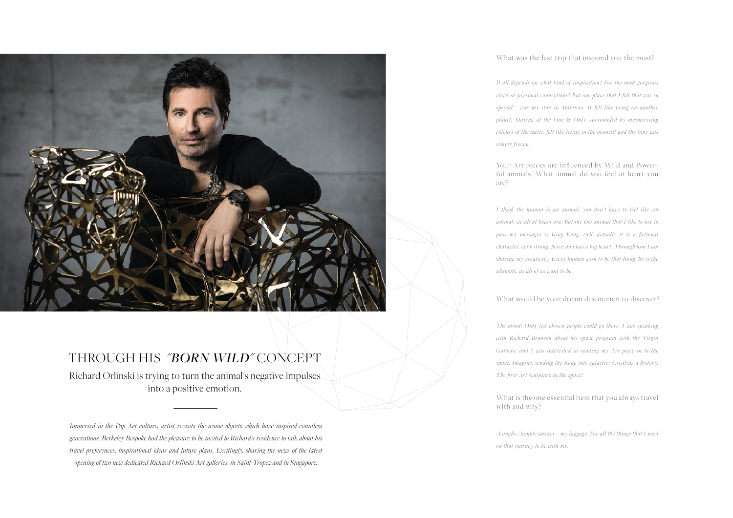*Immersed in the Pop Art culture, artist revisits the iconic objects which have inspired countless generations. Berkeley Bespoke had the pleasure to be invited to Richard's residence to talk about his travel preferences, inspirational ideas and future plans. Excitingly, sharing the news of the latest opening of two new dedicated Richard Orlinski Art galleries, in Saint-Tropez and in Singapore.*

### What was the last trip that inspired you the most?

*It all depends on what kind of inspiration? For the most gorgeous views or personal connections? But one place that I felt that was so special - was my stay in Maldives. It felt like being on another planet. Staying at the One & Only, surrounded by mesmerising colours of the water, felt like living in the moment and the time was* 

*simply frozen.*

## Your Art pieces are influenced by Wild and Powerful animals. What animal do you feel at heart you

are?

*I think the human is an animal, you don't have to feel like an animal, we all at heart are. But the one animal that I like to use to pass my messages is King Kong, well, actually it is a fictional character, very strong, fierce and has a big heart. Through him I am sharing my creativity. Every human wish to be that Kong, he is the ultimate, as all of us want to be.*

### What would be your dream destination to discover?

*The moon! Only few chosen people could go there. I was speaking with Richard Branson about his space program with the Virgin Galactic and I was interested in sending my Art piece in to the space. Imagine, sending the Kong into galactic? Creating a history, The first Art sculpture in the space!* 

## What is the one essential item that you always travel

with and why?

*(Laughs) Simple answer - my luggage. For all the things that I need on that journey to be with me.* 



## THROUGH HIS *"BORN WILD"* CONCEPT

Richard Orlinski is trying to turn the animal's negative impulses into a positive emotion.